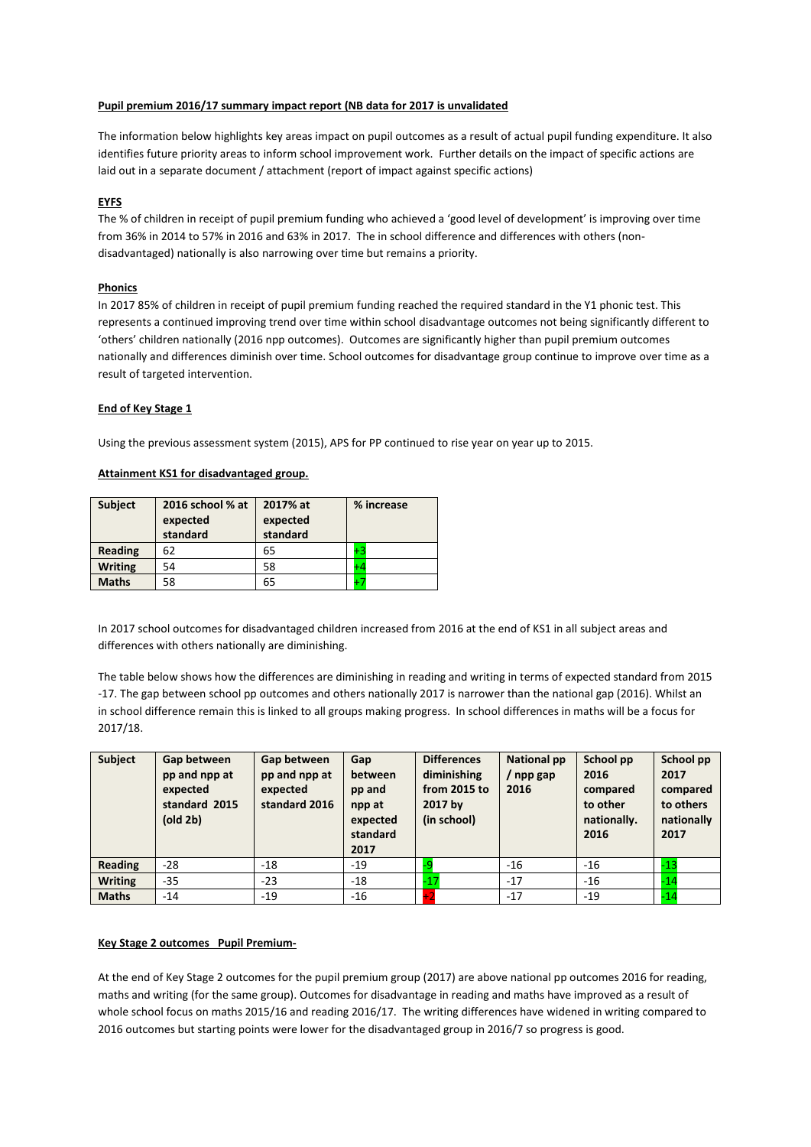## **Pupil premium 2016/17 summary impact report (NB data for 2017 is unvalidated**

The information below highlights key areas impact on pupil outcomes as a result of actual pupil funding expenditure. It also identifies future priority areas to inform school improvement work. Further details on the impact of specific actions are laid out in a separate document / attachment (report of impact against specific actions)

## **EYFS**

The % of children in receipt of pupil premium funding who achieved a 'good level of development' is improving over time from 36% in 2014 to 57% in 2016 and 63% in 2017. The in school difference and differences with others (nondisadvantaged) nationally is also narrowing over time but remains a priority.

### **Phonics**

In 2017 85% of children in receipt of pupil premium funding reached the required standard in the Y1 phonic test. This represents a continued improving trend over time within school disadvantage outcomes not being significantly different to 'others' children nationally (2016 npp outcomes). Outcomes are significantly higher than pupil premium outcomes nationally and differences diminish over time. School outcomes for disadvantage group continue to improve over time as a result of targeted intervention.

### **End of Key Stage 1**

Using the previous assessment system (2015), APS for PP continued to rise year on year up to 2015.

# **Attainment KS1 for disadvantaged group.**

| <b>Subject</b> | 2016 school % at<br>expected<br>standard | 2017% at<br>expected<br>standard | % increase |
|----------------|------------------------------------------|----------------------------------|------------|
| <b>Reading</b> | 62                                       | 65                               | $+2$       |
| <b>Writing</b> | 54                                       | 58                               | +Δ         |
| <b>Maths</b>   | 58                                       | 65                               | 47         |

In 2017 school outcomes for disadvantaged children increased from 2016 at the end of KS1 in all subject areas and differences with others nationally are diminishing.

The table below shows how the differences are diminishing in reading and writing in terms of expected standard from 2015 -17. The gap between school pp outcomes and others nationally 2017 is narrower than the national gap (2016). Whilst an in school difference remain this is linked to all groups making progress. In school differences in maths will be a focus for 2017/18.

| <b>Subject</b> | Gap between<br>pp and npp at<br>expected<br>standard 2015<br>$\left($ old 2b $\right)$ | Gap between<br>pp and npp at<br>expected<br>standard 2016 | Gap<br>between<br>pp and<br>npp at<br>expected<br>standard<br>2017 | <b>Differences</b><br>diminishing<br>from $2015$ to<br>2017 by<br>(in school) | <b>National pp</b><br>/ npp gap<br>2016 | School pp<br>2016<br>compared<br>to other<br>nationally.<br>2016 | School pp<br>2017<br>compared<br>to others<br>nationally<br>2017 |
|----------------|----------------------------------------------------------------------------------------|-----------------------------------------------------------|--------------------------------------------------------------------|-------------------------------------------------------------------------------|-----------------------------------------|------------------------------------------------------------------|------------------------------------------------------------------|
| Reading        | $-28$                                                                                  | $-18$                                                     | $-19$                                                              | -9                                                                            | $-16$                                   | $-16$                                                            | $-13$                                                            |
| <b>Writing</b> | $-35$                                                                                  | $-23$                                                     | $-18$                                                              | $-17$                                                                         | $-17$                                   | $-16$                                                            | $-14$                                                            |
| <b>Maths</b>   | $-14$                                                                                  | $-19$                                                     | -16                                                                |                                                                               | $-17$                                   | $-19$                                                            | $-14$                                                            |

# **Key Stage 2 outcomes Pupil Premium-**

At the end of Key Stage 2 outcomes for the pupil premium group (2017) are above national pp outcomes 2016 for reading, maths and writing (for the same group). Outcomes for disadvantage in reading and maths have improved as a result of whole school focus on maths 2015/16 and reading 2016/17. The writing differences have widened in writing compared to 2016 outcomes but starting points were lower for the disadvantaged group in 2016/7 so progress is good.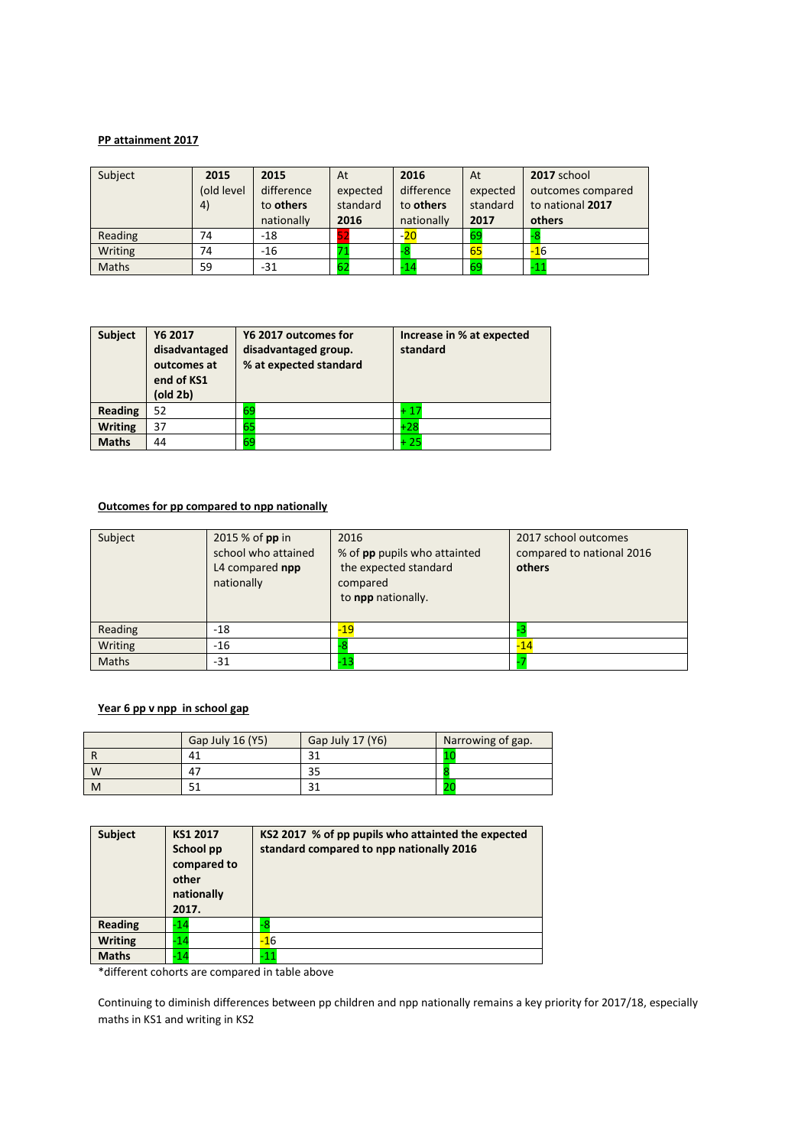# **PP attainment 2017**

| Subject      | 2015       | 2015       | At       | 2016       | At       | 2017 school       |
|--------------|------------|------------|----------|------------|----------|-------------------|
|              | (old level | difference | expected | difference | expected | outcomes compared |
|              | 4)         | to others  | standard | to others  | standard | to national 2017  |
|              |            | nationally | 2016     | nationally | 2017     | others            |
| Reading      | 74         | -18        |          | $-20$      | 69       |                   |
| Writing      | 74         | -16        |          | -8         | 65       | $-16$             |
| <b>Maths</b> | 59         | $-31$      | 62       | $-14$      | 69       | $-11$             |

| <b>Subject</b> | Y6 2017<br>disadvantaged<br>outcomes at<br>end of KS1<br>(old 2b) | Y6 2017 outcomes for<br>disadvantaged group.<br>% at expected standard | Increase in % at expected<br>standard |
|----------------|-------------------------------------------------------------------|------------------------------------------------------------------------|---------------------------------------|
| <b>Reading</b> | 52                                                                | 69                                                                     | $+17$                                 |
| <b>Writing</b> | 37                                                                | 65                                                                     | $+28$                                 |
| <b>Maths</b>   | 44                                                                | 69                                                                     | 25                                    |

# **Outcomes for pp compared to npp nationally**

| Subject      | 2015 % of pp in<br>school who attained<br>L4 compared npp<br>nationally | 2016<br>% of pp pupils who attainted<br>the expected standard<br>compared<br>to npp nationally. | 2017 school outcomes<br>compared to national 2016<br>others |
|--------------|-------------------------------------------------------------------------|-------------------------------------------------------------------------------------------------|-------------------------------------------------------------|
| Reading      | $-18$                                                                   | $-19$                                                                                           |                                                             |
| Writing      | $-16$                                                                   |                                                                                                 | $-14$                                                       |
| <b>Maths</b> | $-31$                                                                   | $-13$                                                                                           |                                                             |

# **Year 6 pp v npp in school gap**

|   | Gap July 16 (Y5) | Gap July 17 (Y6) | Narrowing of gap. |
|---|------------------|------------------|-------------------|
|   | 41               | 21               |                   |
| W | 47               | 35               |                   |
| M |                  | $\mathbf{a}$     | zu                |

| Subject        | KS1 2017<br>School pp<br>compared to<br>other<br>nationally<br>2017. | KS2 2017 % of pp pupils who attainted the expected<br>standard compared to npp nationally 2016 |
|----------------|----------------------------------------------------------------------|------------------------------------------------------------------------------------------------|
| <b>Reading</b> | -14                                                                  |                                                                                                |
| <b>Writing</b> | -14                                                                  | $-16$                                                                                          |
| <b>Maths</b>   | -14                                                                  | -11                                                                                            |

\*different cohorts are compared in table above

Continuing to diminish differences between pp children and npp nationally remains a key priority for 2017/18, especially maths in KS1 and writing in KS2